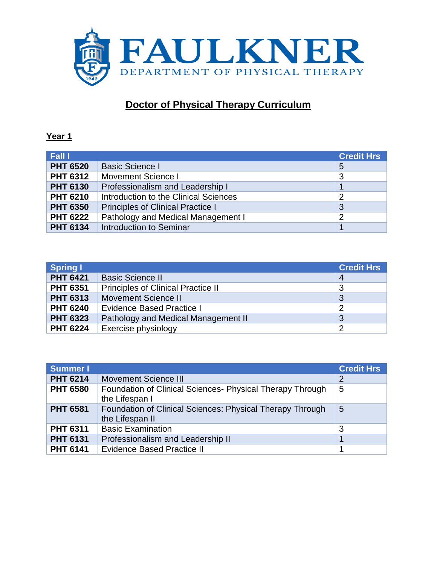

## **Doctor of Physical Therapy Curriculum**

## **Year 1**

| Fall I          |                                          | <b>Credit Hrs</b> |
|-----------------|------------------------------------------|-------------------|
| <b>PHT 6520</b> | <b>Basic Science I</b>                   | $5\overline{)}$   |
| <b>PHT 6312</b> | <b>Movement Science I</b>                | 3                 |
| <b>PHT 6130</b> | Professionalism and Leadership I         |                   |
| <b>PHT 6210</b> | Introduction to the Clinical Sciences    | $\overline{2}$    |
| <b>PHT 6350</b> | <b>Principles of Clinical Practice I</b> | 3                 |
| <b>PHT 6222</b> | Pathology and Medical Management I       | $\overline{2}$    |
| <b>PHT 6134</b> | Introduction to Seminar                  |                   |

| <b>Spring I</b> |                                           | <b>Credit Hrs</b> |
|-----------------|-------------------------------------------|-------------------|
| <b>PHT 6421</b> | <b>Basic Science II</b>                   | $\overline{4}$    |
| <b>PHT 6351</b> | <b>Principles of Clinical Practice II</b> | 3                 |
| <b>PHT 6313</b> | <b>Movement Science II</b>                | 3                 |
| <b>PHT 6240</b> | <b>Evidence Based Practice I</b>          | $\overline{2}$    |
| <b>PHT 6323</b> | Pathology and Medical Management II       | 3                 |
| <b>PHT 6224</b> | Exercise physiology                       | $\overline{2}$    |

| <b>Summer I</b> |                                                                              | <b>Credit Hrs</b> |
|-----------------|------------------------------------------------------------------------------|-------------------|
| <b>PHT 6214</b> | <b>Movement Science III</b>                                                  | $\overline{2}$    |
| <b>PHT 6580</b> | Foundation of Clinical Sciences- Physical Therapy Through<br>the Lifespan I  | 5                 |
| <b>PHT 6581</b> | Foundation of Clinical Sciences: Physical Therapy Through<br>the Lifespan II | 5                 |
| <b>PHT 6311</b> | <b>Basic Examination</b>                                                     | 3                 |
| <b>PHT 6131</b> | Professionalism and Leadership II                                            |                   |
| <b>PHT 6141</b> | <b>Evidence Based Practice II</b>                                            |                   |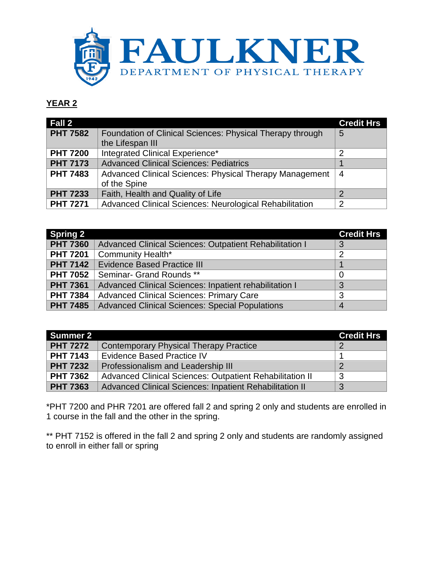

## **YEAR 2**

| Fall 2          |                                                                         | <b>Credit Hrs</b> |
|-----------------|-------------------------------------------------------------------------|-------------------|
| <b>PHT 7582</b> | Foundation of Clinical Sciences: Physical Therapy through               | 5                 |
|                 | the Lifespan III                                                        |                   |
| <b>PHT 7200</b> | Integrated Clinical Experience*                                         | 2                 |
| <b>PHT 7173</b> | <b>Advanced Clinical Sciences: Pediatrics</b>                           |                   |
| <b>PHT 7483</b> | Advanced Clinical Sciences: Physical Therapy Management<br>of the Spine | 4                 |
| <b>PHT 7233</b> | Faith, Health and Quality of Life                                       |                   |
| <b>PHT 7271</b> | Advanced Clinical Sciences: Neurological Rehabilitation                 | 2                 |

| <b>Spring 2</b> |                                                         | <b>Credit Hrs</b> |
|-----------------|---------------------------------------------------------|-------------------|
| <b>PHT 7360</b> | Advanced Clinical Sciences: Outpatient Rehabilitation I | 3                 |
| <b>PHT 7201</b> | <b>Community Health*</b>                                | $\overline{c}$    |
| <b>PHT 7142</b> | <b>Evidence Based Practice III</b>                      |                   |
| <b>PHT 7052</b> | Seminar- Grand Rounds **                                |                   |
| <b>PHT 7361</b> | Advanced Clinical Sciences: Inpatient rehabilitation I  |                   |
| <b>PHT 7384</b> | <b>Advanced Clinical Sciences: Primary Care</b>         | 3                 |
| <b>PHT 7485</b> | <b>Advanced Clinical Sciences: Special Populations</b>  | 4                 |

| Summer 2        |                                                          | <b>Credit Hrs</b> |
|-----------------|----------------------------------------------------------|-------------------|
| <b>PHT 7272</b> | <b>Contemporary Physical Therapy Practice</b>            |                   |
| <b>PHT 7143</b> | <b>Evidence Based Practice IV</b>                        |                   |
| <b>PHT 7232</b> | Professionalism and Leadership III                       |                   |
| <b>PHT 7362</b> | Advanced Clinical Sciences: Outpatient Rehabilitation II | 3                 |
| <b>PHT 7363</b> | Advanced Clinical Sciences: Inpatient Rehabilitation II  | 3                 |

\*PHT 7200 and PHR 7201 are offered fall 2 and spring 2 only and students are enrolled in 1 course in the fall and the other in the spring.

\*\* PHT 7152 is offered in the fall 2 and spring 2 only and students are randomly assigned to enroll in either fall or spring